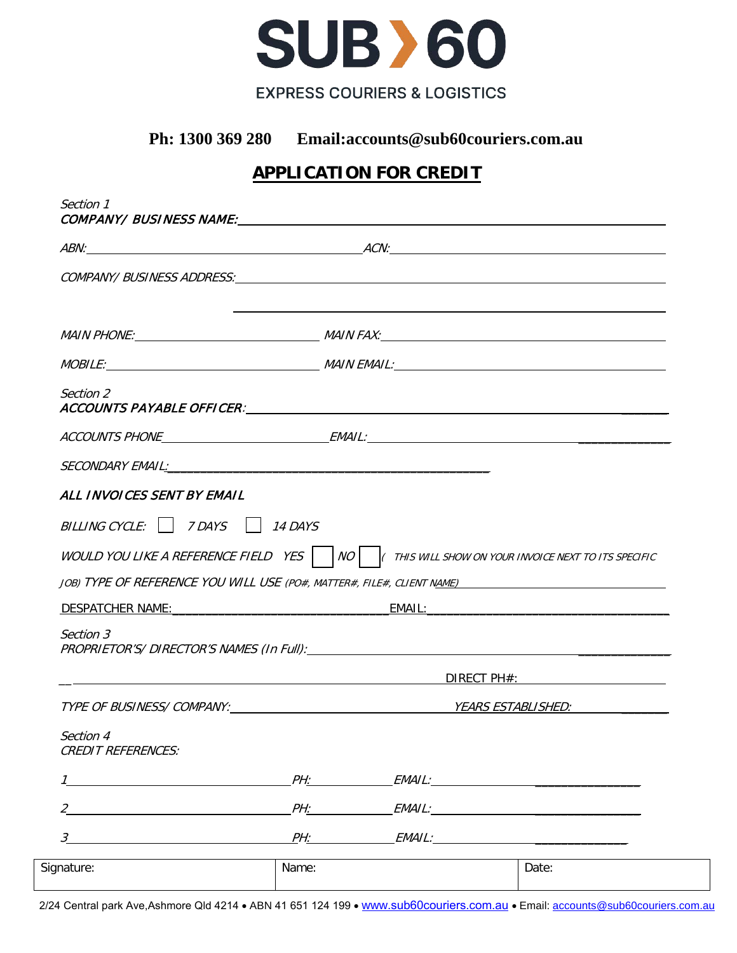

**EXPRESS COURIERS & LOGISTICS** 

### **Ph: 1300 369 280 Email:accounts@sub60couriers.com.au**

## **APPLICATION FOR CREDIT**

|                                                                     | $\textit{MAIN PHONE:}\underbrace{\hspace{2.5cm}}_{\textit{MAIN FAX:}}\textit{MAIN FAX:}\underbrace{\hspace{2.5cm}}_{\textit{MAIN FAX:}}$                                                                                                                                                                                                             |
|---------------------------------------------------------------------|------------------------------------------------------------------------------------------------------------------------------------------------------------------------------------------------------------------------------------------------------------------------------------------------------------------------------------------------------|
|                                                                     | $\textit{MOBILE:}\footnotesize \begin{minipage}{.4\linewidth} \textit{MAIN EMAIL:}\footnotesize \begin{minipage}{.4\linewidth} \textit{MAIN EMAIL:}\footnotesize \end{minipage}$                                                                                                                                                                     |
| Section 2                                                           |                                                                                                                                                                                                                                                                                                                                                      |
|                                                                     | $ACCOUNTS$ PHONE $\_$ $\qquad \qquad$ $\qquad$ $\qquad$ $\qquad$ $\qquad$ $\qquad$ $\qquad$ $\qquad$ $\qquad$ $\qquad$ $\qquad$ $\qquad$ $\qquad$ $\qquad$ $\qquad$ $\qquad$ $\qquad$ $\qquad$ $\qquad$ $\qquad$ $\qquad$ $\qquad$ $\qquad$ $\qquad$ $\qquad$ $\qquad$ $\qquad$ $\qquad$ $\qquad$ $\qquad$ $\qquad$ $\qquad$ $\qquad$ $\qquad$       |
|                                                                     |                                                                                                                                                                                                                                                                                                                                                      |
|                                                                     |                                                                                                                                                                                                                                                                                                                                                      |
|                                                                     |                                                                                                                                                                                                                                                                                                                                                      |
| ALL INVOICES SENT BY EMAIL<br>BILLING CYCLE:     7 DAYS     14 DAYS |                                                                                                                                                                                                                                                                                                                                                      |
|                                                                     |                                                                                                                                                                                                                                                                                                                                                      |
|                                                                     | WOULD YOU LIKE A REFERENCE FIELD YES $ $ $ $ NO $ $ $ $ $\tau$ this will show on your invoice next to its specific<br>DESPATCHER NAME: EMAIL: EMAIL: EMAIL: EMAIL: EMAIL: EMAIL: EMAIL: EMAIL: EMAIL: EMAIL: EMAIL: EMAIL: EMAIL: EMAIL: EMAIL: EMAIL: EMAIL: EMAIL: EMAIL: EMAIL: EMAIL: EMAIL: EMAIL: EMAIL: EMAIL: EMAIL: EMAIL: EMAIL: EMAIL: EM |
| Section 3                                                           |                                                                                                                                                                                                                                                                                                                                                      |
|                                                                     | PROPRIETOR'S/ DIRECTOR'S NAMES (In Full): www.astronometric.com/web/2010/2010/2010<br>DIRECT PH#: Network and the set of the set of the set of the set of the set of the set of the set of the set of the set of the set of the set of the set of the set of the set of the set of the set of the set of the set of                                  |
|                                                                     |                                                                                                                                                                                                                                                                                                                                                      |
| Section 4<br><b>CREDIT REFERENCES:</b>                              |                                                                                                                                                                                                                                                                                                                                                      |
|                                                                     | The Contract of the Contract of the Contract of the Contract of the Contract of the Contract of the Contract of the Contract of the Contract of the Contract of the Contract of the Contract of the Contract of the Contract o                                                                                                                       |
|                                                                     | $PH:$ EMAIL: $\qquad \qquad$ EMAIL:                                                                                                                                                                                                                                                                                                                  |

2/24 Central park Ave,Ashmore Qld 4214 • ABN 41 651 124 199 • www.sub60couriers.com.au • Email: accounts@sub60couriers.com.au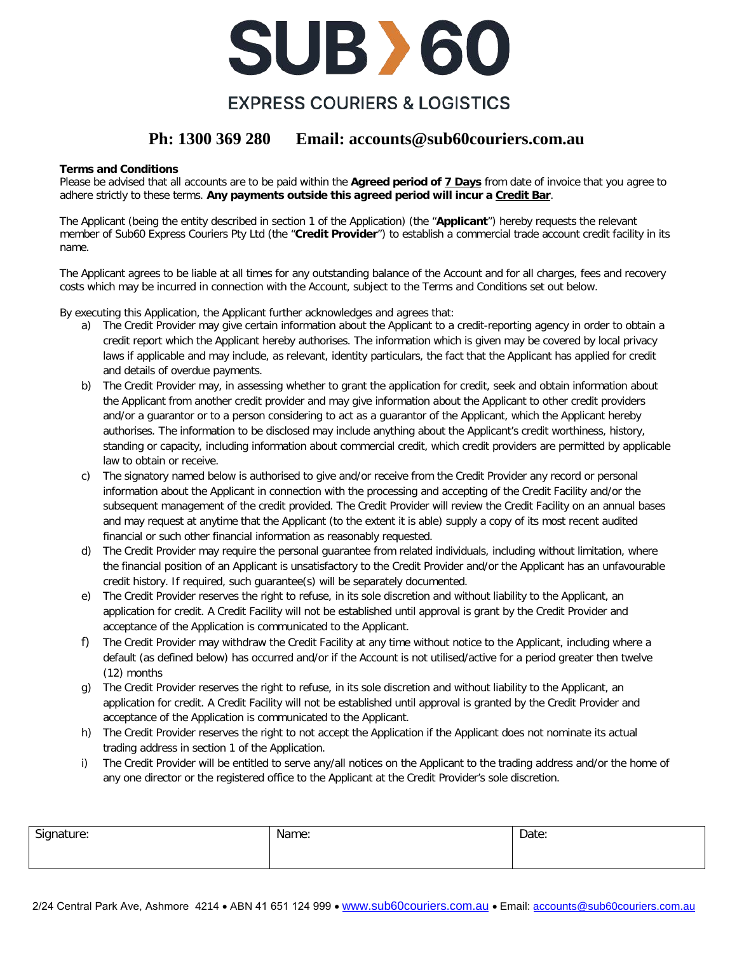

## **EXPRESS COURIERS & LOGISTICS**

### **Ph: 1300 369 280 Email: accounts@sub60couriers.com.au**

#### **Terms and Conditions**

Please be advised that all accounts are to be paid within the **Agreed period of 7 Days** from date of invoice that you agree to adhere strictly to these terms. Any payments outside this agreed period will incur a Credit Bar.

The Applicant (being the entity described in section 1 of the Application) (the "**Applicant**") hereby requests the relevant member of Sub60 Express Couriers Pty Ltd (the "**Credit Provider**") to establish a commercial trade account credit facility in its name.

The Applicant agrees to be liable at all times for any outstanding balance of the Account and for all charges, fees and recovery costs which may be incurred in connection with the Account, subject to the Terms and Conditions set out below.

By executing this Application, the Applicant further acknowledges and agrees that:

- a) The Credit Provider may give certain information about the Applicant to a credit-reporting agency in order to obtain a credit report which the Applicant hereby authorises. The information which is given may be covered by local privacy laws if applicable and may include, as relevant, identity particulars, the fact that the Applicant has applied for credit and details of overdue payments.
- b) The Credit Provider may, in assessing whether to grant the application for credit, seek and obtain information about the Applicant from another credit provider and may give information about the Applicant to other credit providers and/or a guarantor or to a person considering to act as a guarantor of the Applicant, which the Applicant hereby authorises. The information to be disclosed may include anything about the Applicant's credit worthiness, history, standing or capacity, including information about commercial credit, which credit providers are permitted by applicable law to obtain or receive.
- c) The signatory named below is authorised to give and/or receive from the Credit Provider any record or personal information about the Applicant in connection with the processing and accepting of the Credit Facility and/or the subsequent management of the credit provided. The Credit Provider will review the Credit Facility on an annual bases and may request at anytime that the Applicant (to the extent it is able) supply a copy of its most recent audited financial or such other financial information as reasonably requested.
- d) The Credit Provider may require the personal guarantee from related individuals, including without limitation, where the financial position of an Applicant is unsatisfactory to the Credit Provider and/or the Applicant has an unfavourable credit history. If required, such guarantee(s) will be separately documented.
- e) The Credit Provider reserves the right to refuse, in its sole discretion and without liability to the Applicant, an application for credit. A Credit Facility will not be established until approval is grant by the Credit Provider and acceptance of the Application is communicated to the Applicant.
- f) The Credit Provider may withdraw the Credit Facility at any time without notice to the Applicant, including where a default (as defined below) has occurred and/or if the Account is not utilised/active for a period greater then twelve (12) months
- g) The Credit Provider reserves the right to refuse, in its sole discretion and without liability to the Applicant, an application for credit. A Credit Facility will not be established until approval is granted by the Credit Provider and acceptance of the Application is communicated to the Applicant.
- h) The Credit Provider reserves the right to not accept the Application if the Applicant does not nominate its actual trading address in section 1 of the Application.
- i) The Credit Provider will be entitled to serve any/all notices on the Applicant to the trading address and/or the home of any one director or the registered office to the Applicant at the Credit Provider's sole discretion.

| Signature: | Name: | Date: |
|------------|-------|-------|
|            |       |       |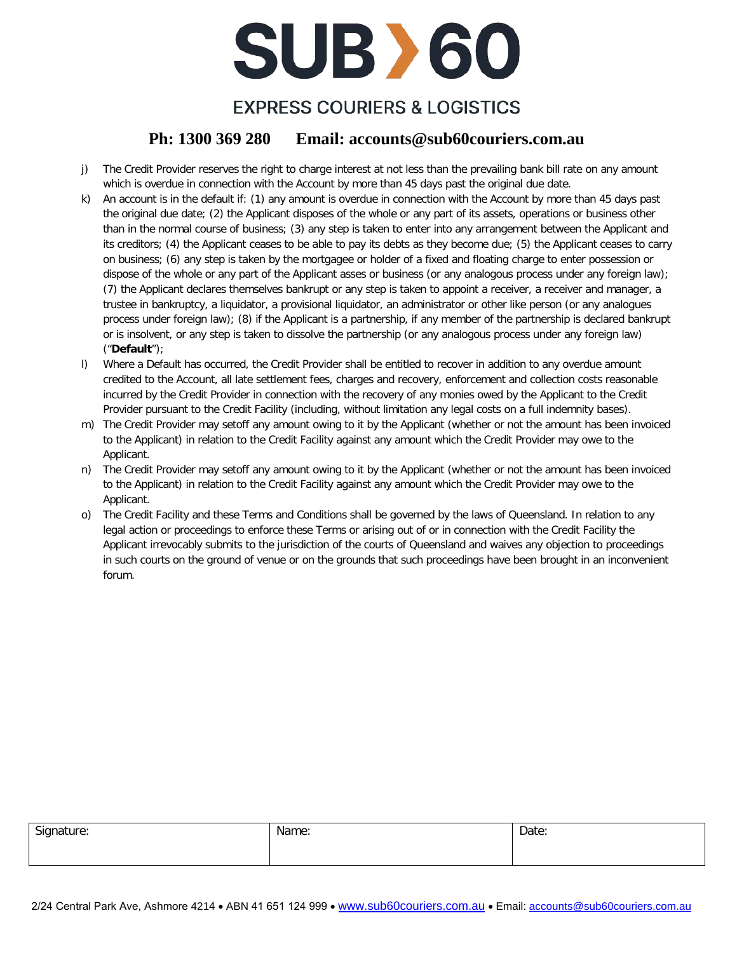# **SUB>60**

# **EXPRESS COURIERS & LOGISTICS**

## **Ph: 1300 369 280 Email: accounts@sub60couriers.com.au**

- j) The Credit Provider reserves the right to charge interest at not less than the prevailing bank bill rate on any amount which is overdue in connection with the Account by more than 45 days past the original due date.
- k) An account is in the default if: (1) any amount is overdue in connection with the Account by more than 45 days past the original due date; (2) the Applicant disposes of the whole or any part of its assets, operations or business other than in the normal course of business; (3) any step is taken to enter into any arrangement between the Applicant and its creditors; (4) the Applicant ceases to be able to pay its debts as they become due; (5) the Applicant ceases to carry on business; (6) any step is taken by the mortgagee or holder of a fixed and floating charge to enter possession or dispose of the whole or any part of the Applicant asses or business (or any analogous process under any foreign law); (7) the Applicant declares themselves bankrupt or any step is taken to appoint a receiver, a receiver and manager, a trustee in bankruptcy, a liquidator, a provisional liquidator, an administrator or other like person (or any analogues process under foreign law); (8) if the Applicant is a partnership, if any member of the partnership is declared bankrupt or is insolvent, or any step is taken to dissolve the partnership (or any analogous process under any foreign law) ("**Default**");
- l) Where a Default has occurred, the Credit Provider shall be entitled to recover in addition to any overdue amount credited to the Account, all late settlement fees, charges and recovery, enforcement and collection costs reasonable incurred by the Credit Provider in connection with the recovery of any monies owed by the Applicant to the Credit Provider pursuant to the Credit Facility (including, without limitation any legal costs on a full indemnity bases).
- m) The Credit Provider may setoff any amount owing to it by the Applicant (whether or not the amount has been invoiced to the Applicant) in relation to the Credit Facility against any amount which the Credit Provider may owe to the Applicant.
- n) The Credit Provider may setoff any amount owing to it by the Applicant (whether or not the amount has been invoiced to the Applicant) in relation to the Credit Facility against any amount which the Credit Provider may owe to the Applicant.
- o) The Credit Facility and these Terms and Conditions shall be governed by the laws of Queensland. In relation to any legal action or proceedings to enforce these Terms or arising out of or in connection with the Credit Facility the Applicant irrevocably submits to the jurisdiction of the courts of Queensland and waives any objection to proceedings in such courts on the ground of venue or on the grounds that such proceedings have been brought in an inconvenient forum.

| Signature: | Name: | Date. |
|------------|-------|-------|
|            |       |       |